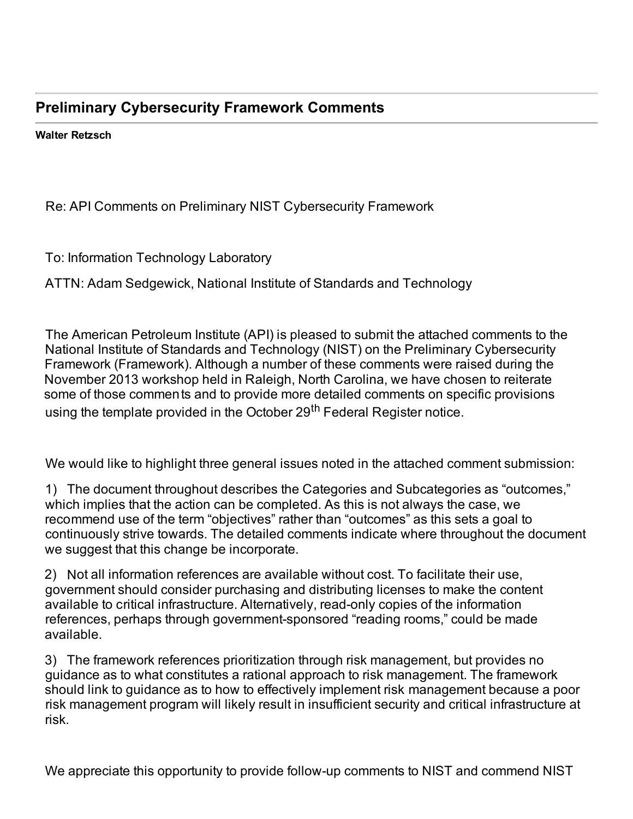## **Preliminary Cybersecurity Framework Comments**

 **Walter Retzsch**

Re: API Comments on Preliminary NIST Cybersecurity Framework

To: Information Technology Laboratory

ATTN: Adam Sedgewick, National Institute of Standards and Technology

 The American Petroleum Institute (API) is pleased to submit the attached comments to the National Institute of Standards and Technology (NIST) on the Preliminary Cybersecurity Framework (Framework). Although a number of these comments were raised during the November 2013 workshop held in Raleigh, North Carolina, we have chosen to reiterate some of those comments and to provide more detailed comments on specific provisions using the template provided in the October 29<sup>th</sup> Federal Register notice.

We would like to highlight three general issues noted in the attached comment submission:

 1) The document throughout describes the Categories and Subcategories as "outcomes," which implies that the action can be completed. As this is not always the case, we recommend use of the term "objectives" rather than "outcomes" as this sets a goal to continuously strive towards. The detailed comments indicate where throughout the document we suggest that this change be incorporate.

 2) Not all information references are available without cost. To facilitate their use, government should consider purchasing and distributing licenses to make the content available to critical infrastructure. Alternatively, read-only copies of the information references, perhaps through government-sponsored "reading rooms," could be made available.

 3) The framework references prioritization through risk management, but provides no guidance as to what constitutes a rational approach to risk management. The framework should link to guidance as to how to effectively implement risk management because a poor risk management program will likely result in insufficient security and critical infrastructure at risk.